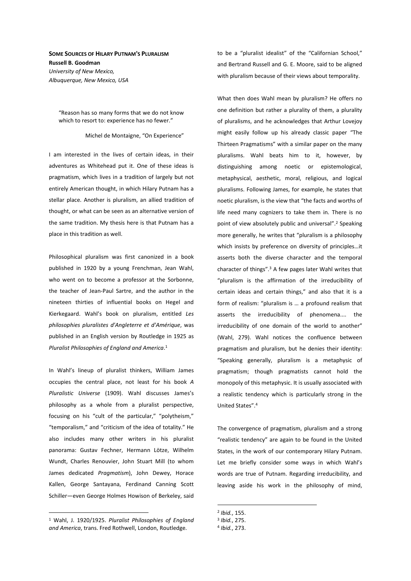## **SOME SOURCES OF HILARY PUTNAM'S PLURALISM Russell B. Goodman**  *University of New Mexico,*

*Albuquerque, New Mexico, USA*

"Reason has so many forms that we do not know which to resort to: experience has no fewer."

## Michel de Montaigne, "On Experience"

I am interested in the lives of certain ideas, in their adventures as Whitehead put it. One of these ideas is pragmatism, which lives in a tradition of largely but not entirely American thought, in which Hilary Putnam has a stellar place. Another is pluralism, an allied tradition of thought, or what can be seen as an alternative version of the same tradition. My thesis here is that Putnam has a place in this tradition as well.

Philosophical pluralism was first canonized in a book published in 1920 by a young Frenchman, Jean Wahl, who went on to become a professor at the Sorbonne, the teacher of Jean-Paul Sartre, and the author in the nineteen thirties of influential books on Hegel and Kierkegaard. Wahl's book on pluralism, entitled *Les philosophies pluralistes d'Angleterre et d'Amérique*, was published in an English version by Routledge in 1925 as *Pluralist Philosophies of England and America*. 1

In Wahl's lineup of pluralist thinkers, William James occupies the central place, not least for his book *A Pluralistic Universe* (1909). Wahl discusses James's philosophy as a whole from a pluralist perspective, focusing on his "cult of the particular," "polytheism," "temporalism," and "criticism of the idea of totality." He also includes many other writers in his pluralist panorama: Gustav Fechner, Hermann Lötze, Wilhelm Wundt, Charles Renouvier, John Stuart Mill (to whom James dedicated *Pragmatism*), John Dewey, Horace Kallen, George Santayana, Ferdinand Canning Scott Schiller—even George Holmes Howison of Berkeley, said

 $\overline{a}$ 

to be a "pluralist idealist" of the "Californian School," and Bertrand Russell and G. E. Moore, said to be aligned with pluralism because of their views about temporality.

What then does Wahl mean by pluralism? He offers no one definition but rather a plurality of them, a plurality of pluralisms, and he acknowledges that Arthur Lovejoy might easily follow up his already classic paper "The Thirteen Pragmatisms" with a similar paper on the many pluralisms. Wahl beats him to it, however, by distinguishing among noetic or epistemological, metaphysical, aesthetic, moral, religious, and logical pluralisms. Following James, for example, he states that noetic pluralism, is the view that "the facts and worths of life need many cognizers to take them in. There is no point of view absolutely public and universal".<sup>2</sup> Speaking more generally, he writes that "pluralism is a philosophy which insists by preference on diversity of principles…it asserts both the diverse character and the temporal character of things".<sup>3</sup> A few pages later Wahl writes that "pluralism is the affirmation of the irreducibility of certain ideas and certain things," and also that it is a form of realism: "pluralism is … a profound realism that asserts the irreducibility of phenomena.... the irreducibility of one domain of the world to another" (Wahl, 279). Wahl notices the confluence between pragmatism and pluralism, but he denies their identity: "Speaking generally, pluralism is a metaphysic of pragmatism; though pragmatists cannot hold the monopoly of this metaphysic. It is usually associated with a realistic tendency which is particularly strong in the United States".<sup>4</sup>

The convergence of pragmatism, pluralism and a strong "realistic tendency" are again to be found in the United States, in the work of our contemporary Hilary Putnam. Let me briefly consider some ways in which Wahl's words are true of Putnam. Regarding irreducibility, and leaving aside his work in the philosophy of mind,

<sup>1</sup> Wahl, J. 1920/1925. *Pluralist Philosophies of England and America*, trans. Fred Rothwell, London, Routledge.

<sup>2</sup> *Ibid.*, 155.

<sup>3</sup> *Ibid.*, 275.

<sup>4</sup> *Ibid.*, 273.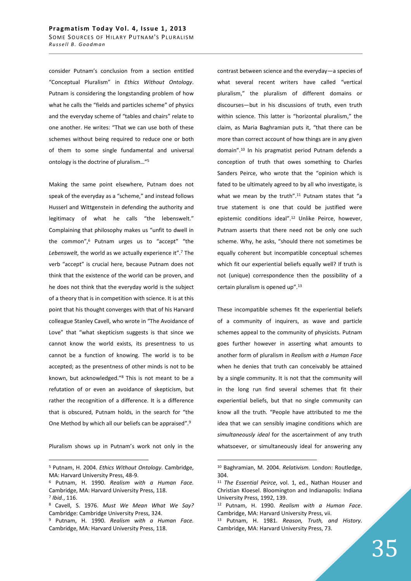consider Putnam's conclusion from a section entitled "Conceptual Pluralism" in *Ethics Without Ontology*. Putnam is considering the longstanding problem of how what he calls the "fields and particles scheme" of physics and the everyday scheme of "tables and chairs" relate to one another. He writes: "That we can use both of these schemes without being required to reduce one or both of them to some single fundamental and universal ontology is the doctrine of pluralism…"<sup>5</sup>

Making the same point elsewhere, Putnam does not speak of the everyday as a "scheme," and instead follows Husserl and Wittgenstein in defending the authority and legitimacy of what he calls "the lebenswelt." Complaining that philosophy makes us "unfit to dwell in the common",<sup>6</sup> Putnam urges us to "accept" "the *Lebenswelt*, the world as we actually experience it".<sup>7</sup> The verb "accept" is crucial here, because Putnam does not think that the existence of the world can be proven, and he does not think that the everyday world is the subject of a theory that is in competition with science. It is at this point that his thought converges with that of his Harvard colleague Stanley Cavell, who wrote in "The Avoidance of Love" that "what skepticism suggests is that since we cannot know the world exists, its presentness to us cannot be a function of knowing. The world is to be accepted; as the presentness of other minds is not to be known, but acknowledged."<sup>8</sup> This is not meant to be a refutation of or even an avoidance of skepticism, but rather the recognition of a difference. It is a difference that is obscured, Putnam holds, in the search for "the One Method by which all our beliefs can be appraised".<sup>9</sup>

Pluralism shows up in Putnam's work not only in the

 $\overline{a}$ 

contrast between science and the everyday—a species of what several recent writers have called "vertical pluralism," the pluralism of different domains or discourses—but in his discussions of truth, even truth within science. This latter is "horizontal pluralism," the claim, as Maria Baghramian puts it, "that there can be more than correct account of how things are in any given domain".<sup>10</sup> In his pragmatist period Putnam defends a conception of truth that owes something to Charles Sanders Peirce, who wrote that the "opinion which is fated to be ultimately agreed to by all who investigate, is what we mean by the truth".<sup>11</sup> Putnam states that "a true statement is one that could be justified were epistemic conditions ideal".<sup>12</sup> Unlike Peirce, however, Putnam asserts that there need not be only one such scheme. Why, he asks, "should there not sometimes be equally coherent but incompatible conceptual schemes which fit our experiential beliefs equally well? If truth is not (unique) correspondence then the possibility of a certain pluralism is opened up".<sup>13</sup>

These incompatible schemes fit the experiential beliefs of a community of inquirers, as wave and particle schemes appeal to the community of physicists. Putnam goes further however in asserting what amounts to another form of pluralism in *Realism with a Human Face* when he denies that truth can conceivably be attained by a single community. It is not that the community will in the long run find several schemes that fit their experiential beliefs, but that no single community can know all the truth. "People have attributed to me the idea that we can sensibly imagine conditions which are *simultaneously ideal* for the ascertainment of any truth whatsoever, or simultaneously ideal for answering any

<sup>5</sup> Putnam, H. 2004. *Ethics Without Ontology.* Cambridge, MA: Harvard University Press, 48-9.

<sup>6</sup> Putnam, H. 1990. *Realism with a Human Face.* Cambridge, MA: Harvard University Press, 118. 7 *Ibid.*, 116.

<sup>8</sup> Cavell, S. 1976. *Must We Mean What We Say?* Cambridge: Cambridge University Press, 324.

<sup>9</sup> Putnam, H. 1990. *Realism with a Human Face.* Cambridge, MA: Harvard University Press, 118.

<sup>10</sup> Baghramian, M. 2004. *Relativism.* London: Routledge, 304.

<sup>11</sup> *The Essential Peirce*, vol. 1, ed., Nathan Houser and Christian Kloesel. Bloomington and Indianapolis: Indiana University Press, 1992, 139.

<sup>12</sup> Putnam, H. 1990. *Realism with a Human Face*. Cambridge, MA: Harvard University Press, vii.

<sup>13</sup> Putnam, H. 1981. *Reason, Truth, and History.* Cambridge, MA: Harvard University Press, 73.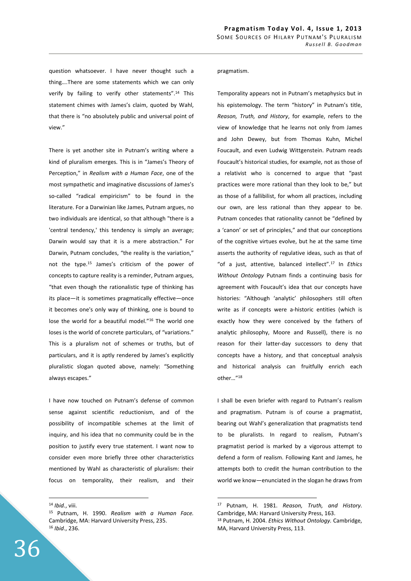question whatsoever. I have never thought such a thing….There are some statements which we can only verify by failing to verify other statements".<sup>14</sup> This statement chimes with James's claim, quoted by Wahl, that there is "no absolutely public and universal point of view."

There is yet another site in Putnam's writing where a kind of pluralism emerges. This is in "James's Theory of Perception," in *Realism with a Human Face*, one of the most sympathetic and imaginative discussions of James's so-called "radical empiricism" to be found in the literature. For a Darwinian like James, Putnam argues, no two individuals are identical, so that although "there is a 'central tendency,' this tendency is simply an average; Darwin would say that it is a mere abstraction." For Darwin, Putnam concludes, "the reality is the variation," not the type.<sup>15</sup> James's criticism of the power of concepts to capture reality is a reminder, Putnam argues, "that even though the rationalistic type of thinking has its place—it is sometimes pragmatically effective—once it becomes one's only way of thinking, one is bound to lose the world for a beautiful model."<sup>16</sup> The world one loses is the world of concrete particulars, of "variations." This is a pluralism not of schemes or truths, but of particulars, and it is aptly rendered by James's explicitly pluralistic slogan quoted above, namely: "Something always escapes."

I have now touched on Putnam's defense of common sense against scientific reductionism, and of the possibility of incompatible schemes at the limit of inquiry, and his idea that no community could be in the position to justify every true statement. I want now to consider even more briefly three other characteristics mentioned by Wahl as characteristic of pluralism: their focus on temporality, their realism, and their

 $\overline{a}$ 

pragmatism.

Temporality appears not in Putnam's metaphysics but in his epistemology. The term "history" in Putnam's title, *Reason, Truth, and History*, for example, refers to the view of knowledge that he learns not only from James and John Dewey, but from Thomas Kuhn, Michel Foucault, and even Ludwig Wittgenstein. Putnam reads Foucault's historical studies, for example, not as those of a relativist who is concerned to argue that "past practices were more rational than they look to be," but as those of a fallibilist, for whom all practices, including our own, are less rational than they appear to be. Putnam concedes that rationality cannot be "defined by a 'canon' or set of principles," and that our conceptions of the cognitive virtues evolve, but he at the same time asserts the authority of regulative ideas, such as that of "of a just, attentive, balanced intellect".<sup>17</sup> In *Ethics Without Ontology* Putnam finds a continuing basis for agreement with Foucault's idea that our concepts have histories: "Although 'analytic' philosophers still often write as if concepts were a-historic entities (which is exactly how they were conceived by the fathers of analytic philosophy, Moore and Russell), there is no reason for their latter-day successors to deny that concepts have a history, and that conceptual analysis and historical analysis can fruitfully enrich each other…"<sup>18</sup>

I shall be even briefer with regard to Putnam's realism and pragmatism. Putnam is of course a pragmatist, bearing out Wahl's generalization that pragmatists tend to be pluralists. In regard to realism, Putnam's pragmatist period is marked by a vigorous attempt to defend a form of realism. Following Kant and James, he attempts both to credit the human contribution to the world we know—enunciated in the slogan he draws from

<sup>14</sup> *Ibid.*, viii.

<sup>15</sup> Putnam, H. 1990. *Realism with a Human Face.* Cambridge, MA: Harvard University Press, 235. <sup>16</sup> *Ibid*., 236.

<sup>17</sup> Putnam, H. 1981. *Reason, Truth, and History.* Cambridge, MA: Harvard University Press, 163.

<sup>18</sup> Putnam, H. 2004. *Ethics Without Ontology.* Cambridge, MA, Harvard University Press, 113.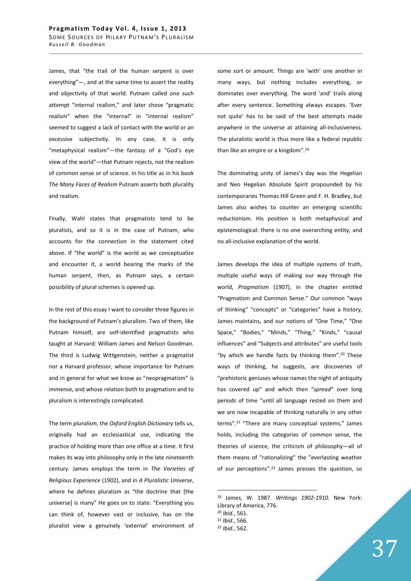James, that "the trail of the human serpent is over everything"—, and at the same time to assert the reality and objectivity of that world. Putnam called one such attempt "internal realism," and later chose "pragmatic realism" when the "internal" in "internal realism" seemed to suggest a lack of contact with the world or an excessive subjectivity. In any case, it is only "metaphysical realism"—the fantasy of a "God's eye view of the world"—that Putnam rejects, not the realism of common sense or of science. In his title as in his book *The Many Faces of Realism* Putnam asserts both plurality and realism.

Finally, Wahl states that pragmatists tend to be pluralists, and so it is in the case of Putnam, who accounts for the connection in the statement cited above. If "the world" is the world as we conceptualize and encounter it, a world bearing the marks of the human serpent, then, as Putnam says, a certain possibility of plural schemes is opened up.

In the rest of this essay I want to consider three figures in the background of Putnam's pluralism. Two of them, like Putnam himself, are self-identified pragmatists who taught at Harvard: William James and Nelson Goodman. The third is Ludwig Wittgenstein, neither a pragmatist nor a Harvard professor, whose importance for Putnam and in general for what we know as "neopragmatism" is immense, and whose relation both to pragmatism and to pluralism is interestingly complicated.

The term *pluralism*, the *Oxford English Dictionary* tells us, originally had an ecclesiastical use, indicating the practice of holding more than one office at a time. It first makes its way into philosophy only in the late nineteenth century. James employs the term in *The Varieties of Religious Experience* (1902), and in *A Pluralistic Universe*, where he defines pluralism as "the doctrine that [the universe] is many" He goes on to state: "Everything you can think of, however vast or inclusive, has on the pluralist view a genuinely 'external' environment of

some sort or amount. Things are 'with' one another in many ways, but nothing includes everything, or dominates over everything. The word 'and' trails along after every sentence. Something always escapes. 'Ever not quite' has to be said of the best attempts made anywhere in the universe at attaining all-inclusiveness. The pluralistic world is thus more like a federal republic than like an empire or a kingdom".<sup>19</sup>

The dominating unity of James's day was the Hegelian and Neo Hegelian Absolute Spirit propounded by his contemporaries Thomas Hill Green and F. H. Bradley, but James also wishes to counter an emerging scientific reductionism. His position is both metaphysical and epistemological: there is no one overarching entity, and no all-inclusive explanation of the world.

James develops the idea of multiple systems of truth, multiple useful ways of making our way through the world, *Pragmatism* (1907), in the chapter entitled "Pragmatism and Common Sense." Our common "ways of thinking" "concepts" or "categories" have a history, James maintains, and our notions of "One Time," "One Space," "Bodies," "Minds," "Thing," "Kinds," "causal influences" and "Subjects and attributes" are useful tools "by which we handle facts by thinking them". $20$  These ways of thinking, he suggests, are discoveries of "prehistoric geniuses whose names the night of antiquity has covered up" and which then "*spread*" over long periods of time "until all language rested on them and we are now incapable of thinking naturally in any other terms".<sup>21</sup> "There are many conceptual systems," James holds, including the categories of common sense, the theories of science, the criticism of philosophy—all of them means of "rationalizing" the "everlasting weather of our perceptions".<sup>22</sup> James presses the question, so

<sup>19</sup> James, W. 1987. *Writings 1902-1910.* New York: Library of America, 776.

<sup>20</sup> *Ibid.*, 561.

<sup>21</sup> *Ibid.*, 566.

<sup>22</sup> *Ibid.*, 562.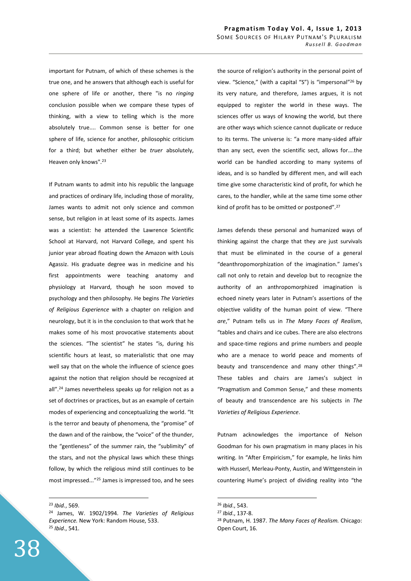important for Putnam, of which of these schemes is the true one, and he answers that although each is useful for one sphere of life or another, there "is no *ringing* conclusion possible when we compare these types of thinking, with a view to telling which is the more absolutely true.... Common sense is better for one sphere of life, science for another, philosophic criticism for a third; but whether either be *truer* absolutely, Heaven only knows".<sup>23</sup>

If Putnam wants to admit into his republic the language and practices of ordinary life, including those of morality, James wants to admit not only science and common sense, but religion in at least some of its aspects. James was a scientist: he attended the Lawrence Scientific School at Harvard, not Harvard College, and spent his junior year abroad floating down the Amazon with Louis Agassiz. His graduate degree was in medicine and his first appointments were teaching anatomy and physiology at Harvard, though he soon moved to psychology and then philosophy. He begins *The Varieties of Religious Experience* with a chapter on religion and neurology, but it is in the conclusion to that work that he makes some of his most provocative statements about the sciences. "The scientist" he states "is, during his scientific hours at least, so materialistic that one may well say that on the whole the influence of science goes against the notion that religion should be recognized at all".<sup>24</sup> James nevertheless speaks up for religion not as a set of doctrines or practices, but as an example of certain modes of experiencing and conceptualizing the world. "It is the terror and beauty of phenomena, the "promise" of the dawn and of the rainbow, the "voice" of the thunder, the "gentleness" of the summer rain, the "sublimity" of the stars, and not the physical laws which these things follow, by which the religious mind still continues to be most impressed..."<sup>25</sup> James is impressed too, and he sees

 $\overline{a}$ 

the source of religion's authority in the personal point of view. "Science," (with a capital "S") is "impersonal"<sup>26</sup> by its very nature, and therefore, James argues, it is not equipped to register the world in these ways. The sciences offer us ways of knowing the world, but there are other ways which science cannot duplicate or reduce to its terms. The universe is: "a more many-sided affair than any sect, even the scientific sect, allows for….the world can be handled according to many systems of ideas, and is so handled by different men, and will each time give some characteristic kind of profit, for which he cares, to the handler, while at the same time some other kind of profit has to be omitted or postponed".<sup>27</sup>

James defends these personal and humanized ways of thinking against the charge that they are just survivals that must be eliminated in the course of a general "deanthropomorphization of the imagination." James's call not only to retain and develop but to recognize the authority of an anthropomorphized imagination is echoed ninety years later in Putnam's assertions of the objective validity of the human point of view. "There *are*," Putnam tells us in *The Many Faces of Realism*, "tables and chairs and ice cubes. There are also electrons and space-time regions and prime numbers and people who are a menace to world peace and moments of beauty and transcendence and many other things".<sup>28</sup> These tables and chairs are James's subject in "Pragmatism and Common Sense," and these moments of beauty and transcendence are his subjects in *The Varieties of Religious Experience*.

Putnam acknowledges the importance of Nelson Goodman for his own pragmatism in many places in his writing. In "After Empiricism," for example, he links him with Husserl, Merleau-Ponty, Austin, and Wittgenstein in countering Hume's project of dividing reality into "the

<sup>23</sup> *Ibid.*, 569.

<sup>24</sup> James, W. 1902/1994. *The Varieties of Religious Experience.* New York: Random House, 533. <sup>25</sup> *Ibid*., 541.

<sup>26</sup> *Ibid*., 543.

<sup>27</sup> *Ibid*., 137-8.

<sup>28</sup> Putnam, H. 1987. *The Many Faces of Realism.* Chicago: Open Court, 16.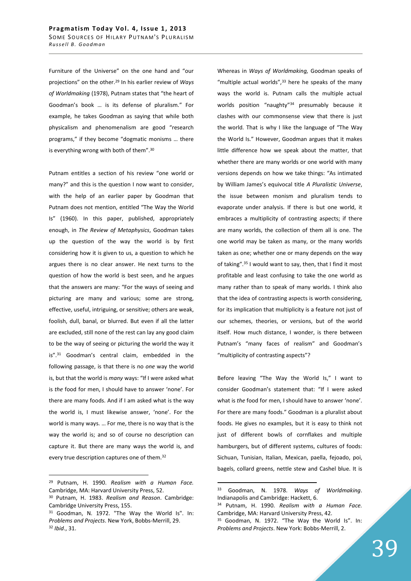Furniture of the Universe" on the one hand and "our projections" on the other.<sup>29</sup> In his earlier review of *Ways of Worldmaking* (1978), Putnam states that "the heart of Goodman's book … is its defense of pluralism." For example, he takes Goodman as saying that while both physicalism and phenomenalism are good "research programs," if they become "dogmatic monisms … there is everything wrong with both of them".<sup>30</sup>

Putnam entitles a section of his review "one world or many?" and this is the question I now want to consider, with the help of an earlier paper by Goodman that Putnam does not mention, entitled "The Way the World Is" (1960). In this paper, published, appropriately enough, in *The Review of Metaphysics*, Goodman takes up the question of the way the world is by first considering how it is given to us, a question to which he argues there is no clear answer. He next turns to the question of how the world is best seen, and he argues that the answers are many: "For the ways of seeing and picturing are many and various; some are strong, effective, useful, intriguing, or sensitive; others are weak, foolish, dull, banal, or blurred. But even if all the latter are excluded, still none of the rest can lay any good claim to be the way of seeing or picturing the world the way it is".<sup>31</sup> Goodman's central claim, embedded in the following passage, is that there is no *one* way the world is, but that the world is *many* ways: "If I were asked what is *the* food for men, I should have to answer 'none'. For there are many foods. And if I am asked what is the way the world is, I must likewise answer, 'none'. For the world is many ways. … For me, there is no way that is the way the world is; and so of course no description can capture it. But there are many ways the world is, and every true description captures one of them.<sup>32</sup>

 $\overline{a}$ 

Whereas in *Ways of Worldmaking,* Goodman speaks of "multiple actual worlds", $33$  here he speaks of the many ways the world is. Putnam calls the multiple actual worlds position "naughty"<sup>34</sup> presumably because it clashes with our commonsense view that there is just the world. That is why I like the language of "The Way the World Is." However, Goodman argues that it makes little difference how we speak about the matter, that whether there are many worlds or one world with many versions depends on how we take things: "As intimated by William James's equivocal title *A Pluralistic Universe*, the issue between monism and pluralism tends to evaporate under analysis. If there is but one world, it embraces a multiplicity of contrasting aspects; if there are many worlds, the collection of them all is one. The one world may be taken as many, or the many worlds taken as one; whether one or many depends on the way of taking".<sup>35</sup> I would want to say, then, that I find it most profitable and least confusing to take the one world as many rather than to speak of many worlds. I think also that the idea of contrasting aspects is worth considering, for its implication that multiplicity is a feature not just of our schemes, theories, or versions, but of the world itself. How much distance, I wonder, is there between Putnam's "many faces of realism" and Goodman's "multiplicity of contrasting aspects"?

Before leaving "The Way the World Is," I want to consider Goodman's statement that: "If I were asked what is *the* food for men, I should have to answer 'none'. For there are many foods." Goodman is a pluralist about foods. He gives no examples, but it is easy to think not just of different bowls of cornflakes and multiple hamburgers, but of different systems, cultures of foods: Sichuan, Tunisian, Italian, Mexican, paella, fejoado, poi, bagels, collard greens, nettle stew and Cashel blue. It is

<sup>29</sup> Putnam, H. 1990. *Realism with a Human Face.* Cambridge, MA: Harvard University Press, 52.

<sup>30</sup> Putnam, H. 1983. *Realism and Reason*. Cambridge: Cambridge University Press, 155.

<sup>31</sup> Goodman, N. 1972. "The Way the World Is". In: *Problems and Projects*. New York, Bobbs-Merrill, 29. <sup>32</sup> *Ibid*., 31.

<sup>33</sup> Goodman, N. 1978. *Ways of Worldmaking*. Indianapolis and Cambridge: Hackett, 6.

<sup>34</sup> Putnam, H. 1990. *Realism with a Human Face.* Cambridge, MA: Harvard University Press, 42.

<sup>35</sup> Goodman, N. 1972. "The Way the World Is". In: *Problems and Projects*. New York: Bobbs-Merrill, 2.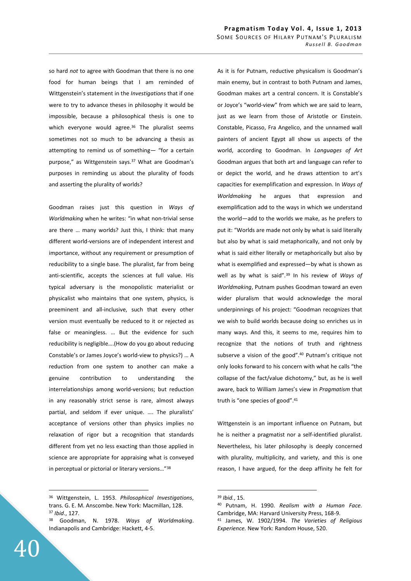so hard *not* to agree with Goodman that there is no one food for human beings that I am reminded of Wittgenstein's statement in the *Investigations* that if one were to try to advance theses in philosophy it would be impossible, because a philosophical thesis is one to which everyone would agree. $36$  The pluralist seems sometimes not so much to be advancing a thesis as attempting to remind us of something— "for a certain purpose," as Wittgenstein says.<sup>37</sup> What are Goodman's purposes in reminding us about the plurality of foods and asserting the plurality of worlds?

Goodman raises just this question in *Ways of Worldmaking* when he writes: "in what non-trivial sense are there … many worlds? Just this, I think: that many different world-versions are of independent interest and importance, without any requirement or presumption of reducibility to a single base. The pluralist, far from being anti-scientific, accepts the sciences at full value. His typical adversary is the monopolistic materialist or physicalist who maintains that one system, physics, is preeminent and all-inclusive, such that every other version must eventually be reduced to it or rejected as false or meaningless. … But the evidence for such reducibility is negligible….(How do you go about reducing Constable's or James Joyce's world-view to physics?) … A reduction from one system to another can make a genuine contribution to understanding the interrelationships among world-versions; but reduction in any reasonably strict sense is rare, almost always partial, and seldom if ever unique. …. The pluralists' acceptance of versions other than physics implies no relaxation of rigor but a recognition that standards different from yet no less exacting than those applied in science are appropriate for appraising what is conveyed in perceptual or pictorial or literary versions…"<sup>38</sup>

As it is for Putnam, reductive physicalism is Goodman's main enemy, but in contrast to both Putnam and James, Goodman makes art a central concern. It is Constable's or Joyce's "world-view" from which we are said to learn, just as we learn from those of Aristotle or Einstein. Constable, Picasso, Fra Angelico, and the unnamed wall painters of ancient Egypt all show us aspects of the world, according to Goodman. In *Languages of Art* Goodman argues that both art and language can refer to or depict the world, and he draws attention to art's capacities for exemplification and expression. In *Ways of Worldmaking* he argues that expression and exemplification add to the ways in which we understand the world—add to the worlds we make, as he prefers to put it: "Worlds are made not only by what is said literally but also by what is said metaphorically, and not only by what is said either literally or metaphorically but also by what is exemplified and expressed—by what is shown as well as by what is said".<sup>39</sup> In his review of *Ways of Worldmaking*, Putnam pushes Goodman toward an even wider pluralism that would acknowledge the moral underpinnings of his project: "Goodman recognizes that we wish to build worlds because doing so enriches us in many ways. And this, it seems to me, requires him to recognize that the notions of truth and rightness subserve a vision of the good".<sup>40</sup> Putnam's critique not only looks forward to his concern with what he calls "the collapse of the fact/value dichotomy," but, as he is well aware, back to William James's view in *Pragmatism* that truth is "one species of good".<sup>41</sup>

Wittgenstein is an important influence on Putnam, but he is neither a pragmatist nor a self-identified pluralist. Nevertheless, his later philosophy is deeply concerned with plurality, multiplicity, and variety, and this is one reason, I have argued, for the deep affinity he felt for

 $\overline{a}$ 

<sup>36</sup> Wittgenstein, L. 1953. *Philosophical Investigations*, trans. G. E. M. Anscombe. New York: Macmillan, 128. <sup>37</sup> *Ibid*., 127.

<sup>38</sup> Goodman, N. 1978. *Ways of Worldmaking*. Indianapolis and Cambridge: Hackett, 4-5.

<sup>39</sup> *Ibid.*, 15.

<sup>40</sup> Putnam, H. 1990. *Realism with a Human Face.* Cambridge, MA: Harvard University Press, 168-9.

<sup>41</sup> James, W. 1902/1994. *The Varieties of Religious Experience.* New York: Random House, 520.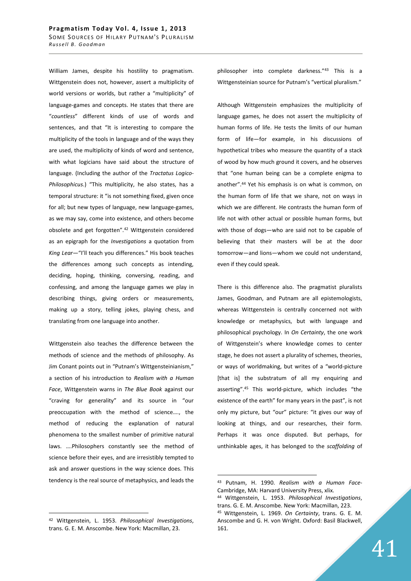William James, despite his hostility to pragmatism. Wittgenstein does not, however, assert a multiplicity of world versions or worlds, but rather a "multiplicity" of language-games and concepts. He states that there are "*countless*" different kinds of use of words and sentences, and that "It is interesting to compare the multiplicity of the tools in language and of the ways they are used, the multiplicity of kinds of word and sentence, with what logicians have said about the structure of language. (Including the author of the *Tractatus Logico-Philosophicus*.) "This multiplicity, he also states, has a temporal structure: it "is not something fixed, given once for all; but new types of language, new language-games, as we may say, come into existence, and others become obsolete and get forgotten".<sup>42</sup> Wittgenstein considered as an epigraph for the *Investigations* a quotation from *King Lear*—"I'll teach you differences." His book teaches the differences among such concepts as intending, deciding, hoping, thinking, conversing, reading, and confessing, and among the language games we play in describing things, giving orders or measurements, making up a story, telling jokes, playing chess, and translating from one language into another.

Wittgenstein also teaches the difference between the methods of science and the methods of philosophy. As Jim Conant points out in "Putnam's Wittgensteinianism," a section of his introduction to *Realism with a Human Face*, Wittgenstein warns in *The Blue Book* against our "craving for generality" and its source in "our preoccupation with the method of science…., the method of reducing the explanation of natural phenomena to the smallest number of primitive natural laws. ….Philosophers constantly see the method of science before their eyes, and are irresistibly tempted to ask and answer questions in the way science does. This tendency is the real source of metaphysics, and leads the

<sup>42</sup> Wittgenstein, L. 1953. *Philosophical Investigations*, trans. G. E. M. Anscombe. New York: Macmillan, 23.

 $\overline{a}$ 

philosopher into complete darkness."<sup>43</sup> This is a Wittgensteinian source for Putnam's "vertical pluralism."

Although Wittgenstein emphasizes the multiplicity of language games, he does not assert the multiplicity of human forms of life. He tests the limits of our human form of life—for example, in his discussions of hypothetical tribes who measure the quantity of a stack of wood by how much ground it covers, and he observes that "one human being can be a complete enigma to another".<sup>44</sup> Yet his emphasis is on what is common, on the human form of life that we share, not on ways in which we are different. He contrasts the human form of life not with other actual or possible human forms, but with those of dogs—who are said not to be capable of believing that their masters will be at the door tomorrow—and lions—whom we could not understand, even if they could speak.

There is this difference also. The pragmatist pluralists James, Goodman, and Putnam are all epistemologists, whereas Wittgenstein is centrally concerned not with knowledge or metaphysics, but with language and philosophical psychology. In *On Certainty*, the one work of Wittgenstein's where knowledge comes to center stage, he does not assert a plurality of schemes, theories, or ways of worldmaking, but writes of a "world-picture [that is] the substratum of all my enquiring and asserting".<sup>45</sup> This world-picture, which includes "the existence of the earth" for many years in the past", is not only my picture, but "our" picture: "it gives our way of looking at things, and our researches, their form. Perhaps it was once disputed. But perhaps, for unthinkable ages, it has belonged to the *scaffolding* of

<sup>43</sup> Putnam, H. 1990. *Realism with a Human Face-*Cambridge, MA: Harvard University Press, xlix. <sup>44</sup> Wittgenstein, L. 1953. *Philosophical Investigations*,

trans. G. E. M. Anscombe. New York: Macmillan, 223. <sup>45</sup> Wittgenstein, L. 1969. *On Certainty*, trans. G. E. M. Anscombe and G. H. von Wright. Oxford: Basil Blackwell, 161.